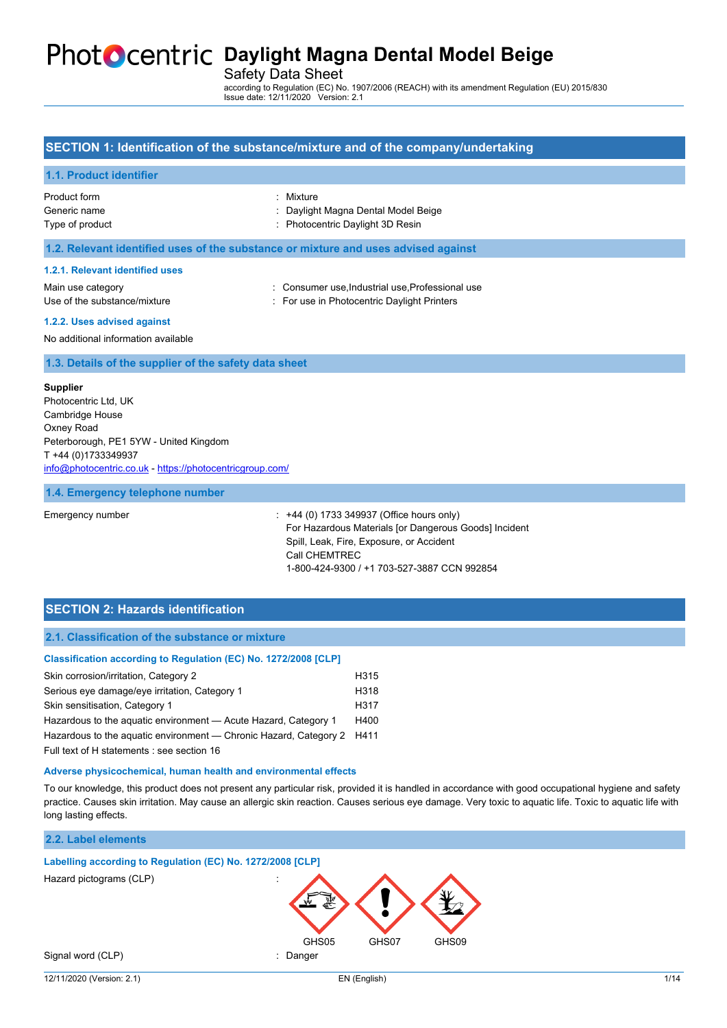## **PhotoCentric Daylight Magna Dental Model Beige**

Safety Data Sheet

according to Regulation (EC) No. 1907/2006 (REACH) with its amendment Regulation (EU) 2015/830 Issue date: 12/11/2020 Version: 2.1

### **SECTION 1: Identification of the substance/mixture and of the company/undertaking**

#### **1.1. Product identifier**

| Product form    |  |
|-----------------|--|
| Generic name    |  |
| $Tum \circ fmm$ |  |

: Mixture

- : Daylight Magna Dental Model Beige
- Type of product **in the set of the COV** and Type of product in the set of product in the set of the Photocentric Daylight 3D Resin

#### **1.2. Relevant identified uses of the substance or mixture and uses advised against**

#### **1.2.1. Relevant identified uses**

Use of the substance/mixture in For use in Photocentric Daylight Printers

Main use category **interest and the Consumer use, Industrial use, Professional use** 

**1.2.2. Uses advised against**

No additional information available

**1.3. Details of the supplier of the safety data sheet**

#### **Supplier**

Photocentric Ltd, UK Cambridge House Oxney Road Peterborough, PE1 5YW - United Kingdom T +44 (0)1733349937 [info@photocentric.co.uk](mailto:info@photocentric.co.uk) -<https://photocentricgroup.com/>

#### **1.4. Emergency telephone number**

Emergency number : +44 (0) 1733 349937 (Office hours only) For Hazardous Materials [or Dangerous Goods] Incident Spill, Leak, Fire, Exposure, or Accident Call CHEMTREC 1-800-424-9300 / +1 703-527-3887 CCN 992854

### **SECTION 2: Hazards identification**

#### **2.1. Classification of the substance or mixture**

| Classification according to Regulation (EC) No. 1272/2008 [CLP]   |      |
|-------------------------------------------------------------------|------|
| Skin corrosion/irritation, Category 2                             | H315 |
| Serious eye damage/eye irritation, Category 1                     | H318 |
| Skin sensitisation, Category 1                                    | H317 |
| Hazardous to the aguatic environment - Acute Hazard, Category 1   | H400 |
| Hazardous to the aguatic environment - Chronic Hazard, Category 2 | H411 |
| Full text of H statements : see section 16                        |      |

#### **Adverse physicochemical, human health and environmental effects**

To our knowledge, this product does not present any particular risk, provided it is handled in accordance with good occupational hygiene and safety practice. Causes skin irritation. May cause an allergic skin reaction. Causes serious eye damage. Very toxic to aquatic life. Toxic to aquatic life with long lasting effects.

### **2.2. Label elements**

### **Labelling according to Regulation (EC) No. 1272/2008 [CLP]**

Hazard pictograms (CLP) :

GHS05 GHS07 GHS09 Signal word (CLP) **in the set of the CLC**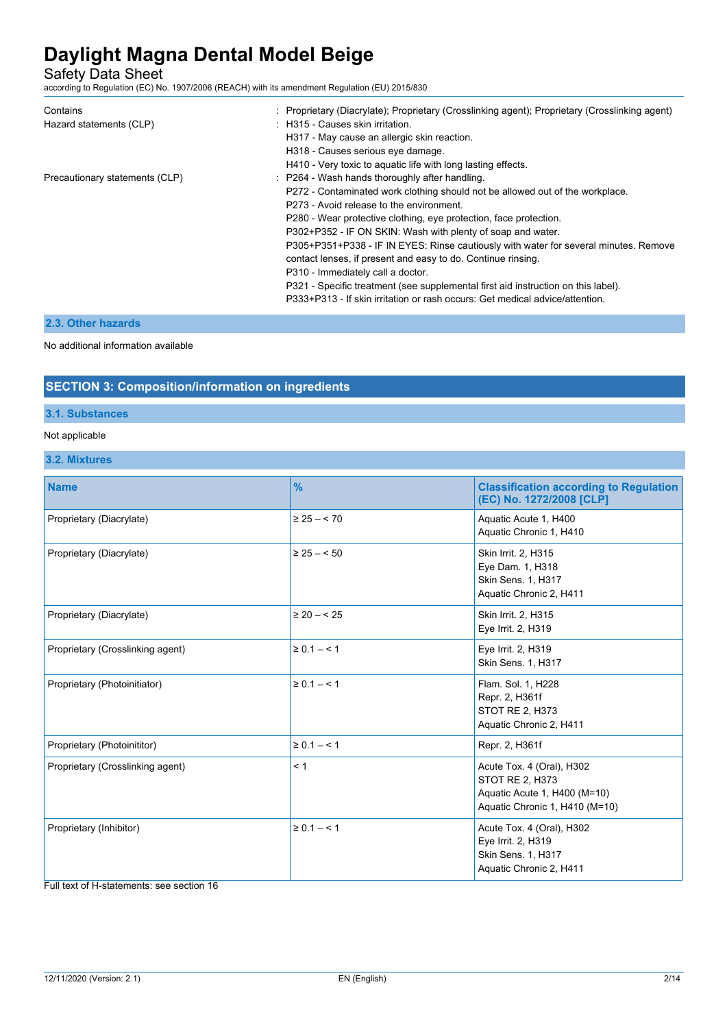Safety Data Sheet

according to Regulation (EC) No. 1907/2006 (REACH) with its amendment Regulation (EU) 2015/830

| Contains                       | : Proprietary (Diacrylate); Proprietary (Crosslinking agent); Proprietary (Crosslinking agent) |
|--------------------------------|------------------------------------------------------------------------------------------------|
| Hazard statements (CLP)        | : H315 - Causes skin irritation.                                                               |
|                                | H317 - May cause an allergic skin reaction.                                                    |
|                                | H318 - Causes serious eye damage.                                                              |
|                                | H410 - Very toxic to aquatic life with long lasting effects.                                   |
| Precautionary statements (CLP) | : P264 - Wash hands thoroughly after handling.                                                 |
|                                | P272 - Contaminated work clothing should not be allowed out of the workplace.                  |
|                                | P273 - Avoid release to the environment.                                                       |
|                                | P280 - Wear protective clothing, eye protection, face protection.                              |
|                                | P302+P352 - IF ON SKIN: Wash with plenty of soap and water.                                    |
|                                | P305+P351+P338 - IF IN EYES: Rinse cautiously with water for several minutes. Remove           |
|                                | contact lenses, if present and easy to do. Continue rinsing.                                   |
|                                | P310 - Immediately call a doctor.                                                              |
|                                | P321 - Specific treatment (see supplemental first aid instruction on this label).              |
|                                | P333+P313 - If skin irritation or rash occurs: Get medical advice/attention.                   |

## **2.3. Other hazards**

No additional information available

## **SECTION 3: Composition/information on ingredients**

### **3.1. Substances**

### Not applicable

## **3.2. Mixtures**

| <b>Name</b>                      | $\frac{9}{6}$      | <b>Classification according to Regulation</b><br>(EC) No. 1272/2008 [CLP]                                             |
|----------------------------------|--------------------|-----------------------------------------------------------------------------------------------------------------------|
| Proprietary (Diacrylate)         | $\geq$ 25 $-$ < 70 | Aquatic Acute 1, H400<br>Aquatic Chronic 1, H410                                                                      |
| Proprietary (Diacrylate)         | $\geq$ 25 $-$ < 50 | Skin Irrit. 2, H315<br>Eye Dam. 1, H318<br>Skin Sens. 1, H317<br>Aquatic Chronic 2, H411                              |
| Proprietary (Diacrylate)         | $\geq 20 - 525$    | Skin Irrit. 2, H315<br>Eye Irrit. 2, H319                                                                             |
| Proprietary (Crosslinking agent) | $\ge 0.1 - 1$      | Eye Irrit. 2, H319<br>Skin Sens. 1, H317                                                                              |
| Proprietary (Photoinitiator)     | $\ge 0.1 - 1$      | Flam. Sol. 1, H228<br>Repr. 2, H361f<br><b>STOT RE 2, H373</b><br>Aquatic Chronic 2, H411                             |
| Proprietary (Photoinititor)      | $\ge 0.1 - 1$      | Repr. 2, H361f                                                                                                        |
| Proprietary (Crosslinking agent) | < 1                | Acute Tox. 4 (Oral), H302<br><b>STOT RE 2, H373</b><br>Aquatic Acute 1, H400 (M=10)<br>Aquatic Chronic 1, H410 (M=10) |
| Proprietary (Inhibitor)          | $\ge 0.1 - 1$      | Acute Tox. 4 (Oral), H302<br>Eye Irrit. 2, H319<br>Skin Sens. 1, H317<br>Aquatic Chronic 2, H411                      |

Full text of H-statements: see section 16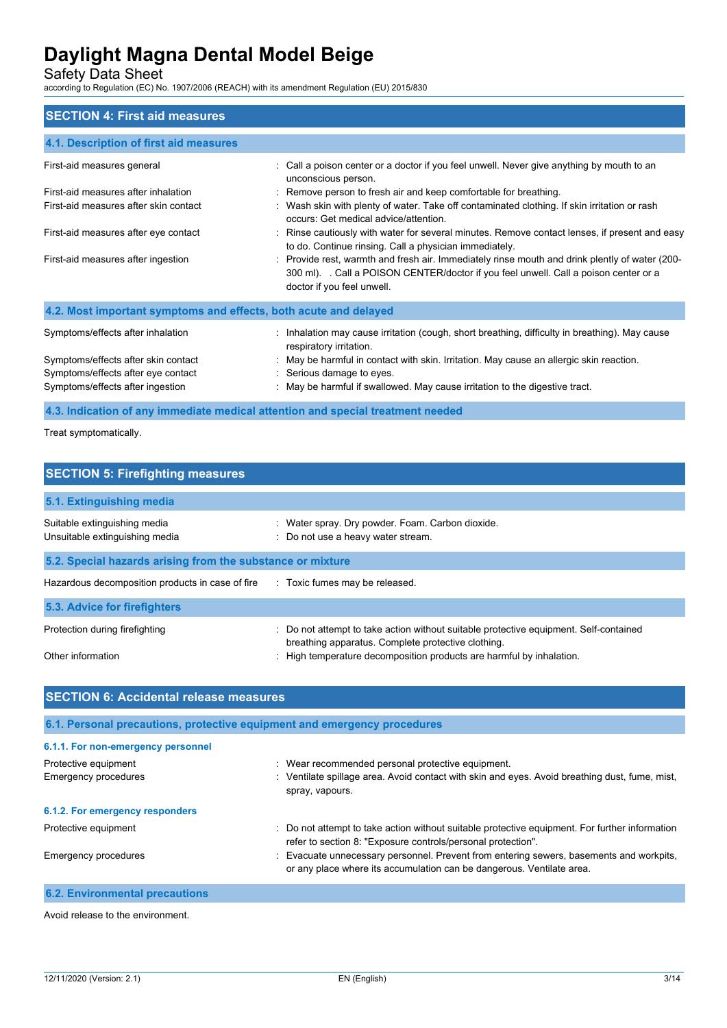Safety Data Sheet

according to Regulation (EC) No. 1907/2006 (REACH) with its amendment Regulation (EU) 2015/830

### **SECTION 4: First aid measures**

| 4.1. Description of first aid measures                                                                        |                                                                                                                                                                                                                    |
|---------------------------------------------------------------------------------------------------------------|--------------------------------------------------------------------------------------------------------------------------------------------------------------------------------------------------------------------|
| First-aid measures general                                                                                    | : Call a poison center or a doctor if you feel unwell. Never give anything by mouth to an<br>unconscious person.                                                                                                   |
| First-aid measures after inhalation                                                                           | : Remove person to fresh air and keep comfortable for breathing.                                                                                                                                                   |
| First-aid measures after skin contact                                                                         | : Wash skin with plenty of water. Take off contaminated clothing. If skin irritation or rash<br>occurs: Get medical advice/attention.                                                                              |
| First-aid measures after eye contact                                                                          | : Rinse cautiously with water for several minutes. Remove contact lenses, if present and easy<br>to do. Continue rinsing. Call a physician immediately.                                                            |
| First-aid measures after ingestion                                                                            | : Provide rest, warmth and fresh air. Immediately rinse mouth and drink plently of water (200-<br>300 ml). Call a POISON CENTER/doctor if you feel unwell. Call a poison center or a<br>doctor if you feel unwell. |
| 4.2. Most important symptoms and effects, both acute and delayed                                              |                                                                                                                                                                                                                    |
| Symptoms/effects after inhalation                                                                             | : Inhalation may cause irritation (cough, short breathing, difficulty in breathing). May cause<br>respiratory irritation.                                                                                          |
| Symptoms/effects after skin contact<br>Symptoms/effects after eye contact<br>Symptoms/effects after ingestion | : May be harmful in contact with skin. Irritation. May cause an allergic skin reaction.<br>: Serious damage to eyes.<br>: May be harmful if swallowed. May cause irritation to the digestive tract.                |
|                                                                                                               |                                                                                                                                                                                                                    |

## **4.3. Indication of any immediate medical attention and special treatment needed**

Treat symptomatically.

| <b>SECTION 5: Firefighting measures</b>                                       |                                                                                                                                             |  |  |
|-------------------------------------------------------------------------------|---------------------------------------------------------------------------------------------------------------------------------------------|--|--|
| 5.1. Extinguishing media                                                      |                                                                                                                                             |  |  |
| Suitable extinguishing media<br>Unsuitable extinguishing media                | Water spray. Dry powder. Foam. Carbon dioxide.<br>: Do not use a heavy water stream.                                                        |  |  |
| 5.2. Special hazards arising from the substance or mixture                    |                                                                                                                                             |  |  |
| Hazardous decomposition products in case of fire Toxic fumes may be released. |                                                                                                                                             |  |  |
| 5.3. Advice for firefighters                                                  |                                                                                                                                             |  |  |
| Protection during firefighting                                                | : Do not attempt to take action without suitable protective equipment. Self-contained<br>breathing apparatus. Complete protective clothing. |  |  |
| Other information                                                             | : High temperature decomposition products are harmful by inhalation.                                                                        |  |  |

| <b>SECTION 6: Accidental release measures</b>                            |                                                                                                                                                                  |  |
|--------------------------------------------------------------------------|------------------------------------------------------------------------------------------------------------------------------------------------------------------|--|
| 6.1. Personal precautions, protective equipment and emergency procedures |                                                                                                                                                                  |  |
| 6.1.1. For non-emergency personnel                                       |                                                                                                                                                                  |  |
| Protective equipment                                                     | : Wear recommended personal protective equipment.                                                                                                                |  |
| Emergency procedures                                                     | : Ventilate spillage area. Avoid contact with skin and eyes. Avoid breathing dust, fume, mist,<br>spray, vapours.                                                |  |
| 6.1.2. For emergency responders                                          |                                                                                                                                                                  |  |
| Protective equipment                                                     | : Do not attempt to take action without suitable protective equipment. For further information<br>refer to section 8: "Exposure controls/personal protection".   |  |
| Emergency procedures                                                     | : Evacuate unnecessary personnel. Prevent from entering sewers, basements and workpits,<br>or any place where its accumulation can be dangerous. Ventilate area. |  |
| <b>6.2. Environmental precautions</b>                                    |                                                                                                                                                                  |  |

Avoid release to the environment.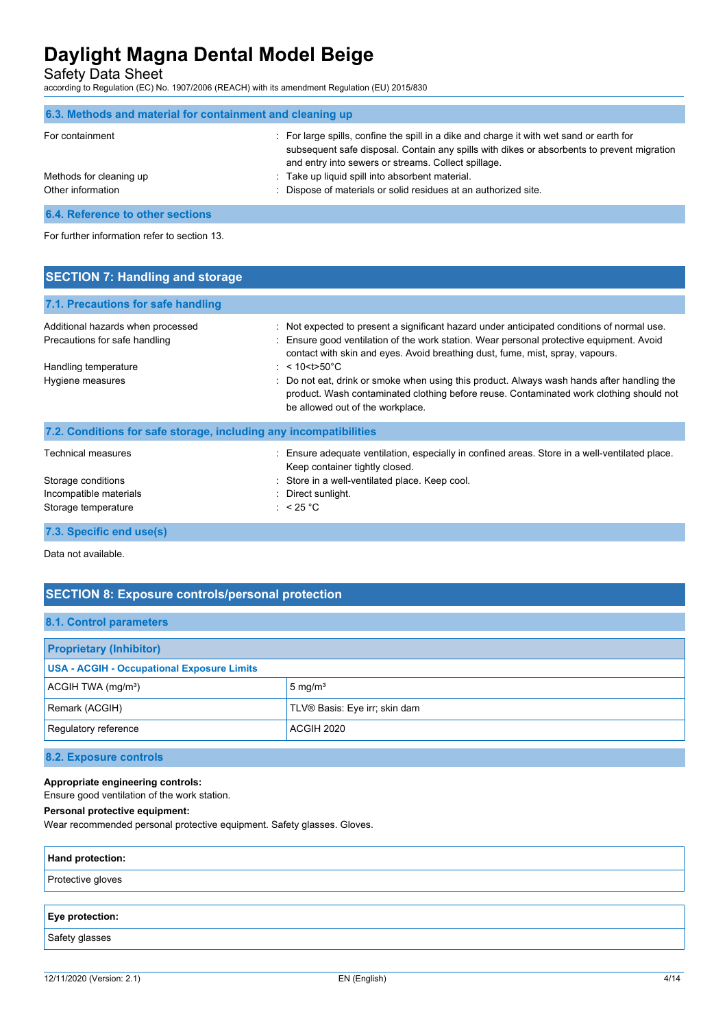Safety Data Sheet

according to Regulation (EC) No. 1907/2006 (REACH) with its amendment Regulation (EU) 2015/830

| 6.3. Methods and material for containment and cleaning up |                                                                                                                                                                                                                                               |
|-----------------------------------------------------------|-----------------------------------------------------------------------------------------------------------------------------------------------------------------------------------------------------------------------------------------------|
| For containment                                           | : For large spills, confine the spill in a dike and charge it with wet sand or earth for<br>subsequent safe disposal. Contain any spills with dikes or absorbents to prevent migration<br>and entry into sewers or streams. Collect spillage. |
| Methods for cleaning up                                   | : Take up liquid spill into absorbent material.                                                                                                                                                                                               |
| Other information                                         | : Dispose of materials or solid residues at an authorized site.                                                                                                                                                                               |

**6.4. Reference to other sections**

For further information refer to section 13.

| <b>SECTION 7: Handling and storage</b>                             |                                                                                                                                                                                                                                                                         |
|--------------------------------------------------------------------|-------------------------------------------------------------------------------------------------------------------------------------------------------------------------------------------------------------------------------------------------------------------------|
| 7.1. Precautions for safe handling                                 |                                                                                                                                                                                                                                                                         |
| Additional hazards when processed<br>Precautions for safe handling | : Not expected to present a significant hazard under anticipated conditions of normal use.<br>: Ensure good ventilation of the work station. Wear personal protective equipment. Avoid<br>contact with skin and eyes. Avoid breathing dust, fume, mist, spray, vapours. |
| Handling temperature<br>Hygiene measures                           | : $< 10 < t > 50^{\circ}$ C<br>: Do not eat, drink or smoke when using this product. Always wash hands after handling the<br>product. Wash contaminated clothing before reuse. Contaminated work clothing should not<br>be allowed out of the workplace.                |
| 7.2. Conditions for safe storage, including any incompatibilities  |                                                                                                                                                                                                                                                                         |
| <b>Technical measures</b>                                          | Ensure adequate ventilation, especially in confined areas. Store in a well-ventilated place.                                                                                                                                                                            |

|                        | Keep container tightly closed.                 |  |
|------------------------|------------------------------------------------|--|
| Storage conditions     | : Store in a well-ventilated place. Keep cool. |  |
| Incompatible materials | : Direct sunlight.                             |  |
| Storage temperature    | : $< 25 °C$                                    |  |
|                        |                                                |  |
|                        |                                                |  |

**7.3. Specific end use(s)**

Data not available.

## **SECTION 8: Exposure controls/personal protection**

### **8.1. Control parameters**

| <b>Proprietary (Inhibitor)</b>                    |                               |
|---------------------------------------------------|-------------------------------|
| <b>USA - ACGIH - Occupational Exposure Limits</b> |                               |
| ACGH TWA (mg/m <sup>3</sup> )                     | 5 mg/m <sup>3</sup>           |
| Remark (ACGIH)                                    | TLV® Basis: Eye irr; skin dam |
| Regulatory reference                              | ACGIH 2020                    |

**8.2. Exposure controls**

### **Appropriate engineering controls:**

Ensure good ventilation of the work station.

#### **Personal protective equipment:**

Wear recommended personal protective equipment. Safety glasses. Gloves.

| Hand protection:  |  |
|-------------------|--|
| Protective gloves |  |
|                   |  |
| Eye protection:   |  |
| Safety glasses    |  |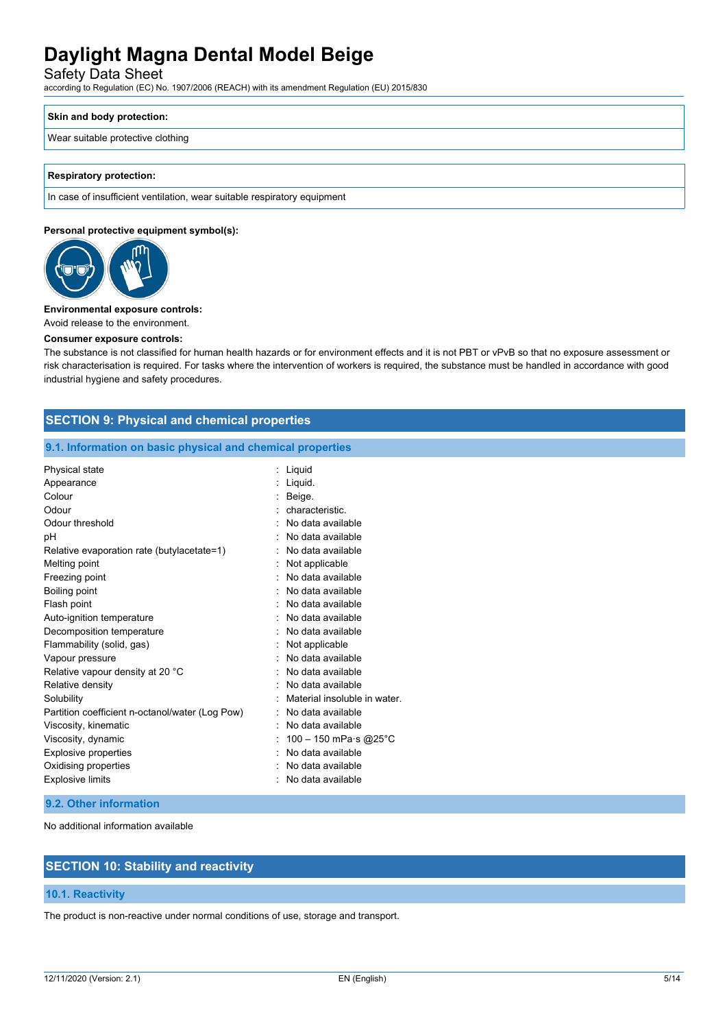Safety Data Sheet

according to Regulation (EC) No. 1907/2006 (REACH) with its amendment Regulation (EU) 2015/830

### **Skin and body protection:**

#### Wear suitable protective clothing

#### **Respiratory protection:**

In case of insufficient ventilation, wear suitable respiratory equipment

#### **Personal protective equipment symbol(s):**



#### **Environmental exposure controls:**

Avoid release to the environment.

#### **Consumer exposure controls:**

The substance is not classified for human health hazards or for environment effects and it is not PBT or vPvB so that no exposure assessment or risk characterisation is required. For tasks where the intervention of workers is required, the substance must be handled in accordance with good industrial hygiene and safety procedures.

## **SECTION 9: Physical and chemical properties**

#### **9.1. Information on basic physical and chemical properties**

| Physical state                                  | Liquid                       |
|-------------------------------------------------|------------------------------|
| Appearance                                      | Liquid.                      |
| Colour                                          | Beige.                       |
| Odour                                           | characteristic.              |
| Odour threshold                                 | No data available            |
| рH                                              | No data available            |
| Relative evaporation rate (butylacetate=1)      | No data available            |
| Melting point                                   | Not applicable               |
| Freezing point                                  | No data available            |
| Boiling point                                   | No data available            |
| Flash point                                     | No data available            |
| Auto-ignition temperature                       | No data available            |
| Decomposition temperature                       | No data available            |
| Flammability (solid, gas)                       | Not applicable               |
| Vapour pressure                                 | No data available            |
| Relative vapour density at 20 °C                | No data available            |
| Relative density                                | No data available            |
| Solubility                                      | Material insoluble in water. |
| Partition coefficient n-octanol/water (Log Pow) | No data available            |
| Viscosity, kinematic                            | No data available            |
| Viscosity, dynamic                              | 100 - 150 mPa·s @25°C        |
| <b>Explosive properties</b>                     | No data available            |
| Oxidising properties                            | No data available            |
| <b>Explosive limits</b>                         | No data available            |

#### **9.2. Other information**

No additional information available

## **SECTION 10: Stability and reactivity**

#### **10.1. Reactivity**

The product is non-reactive under normal conditions of use, storage and transport.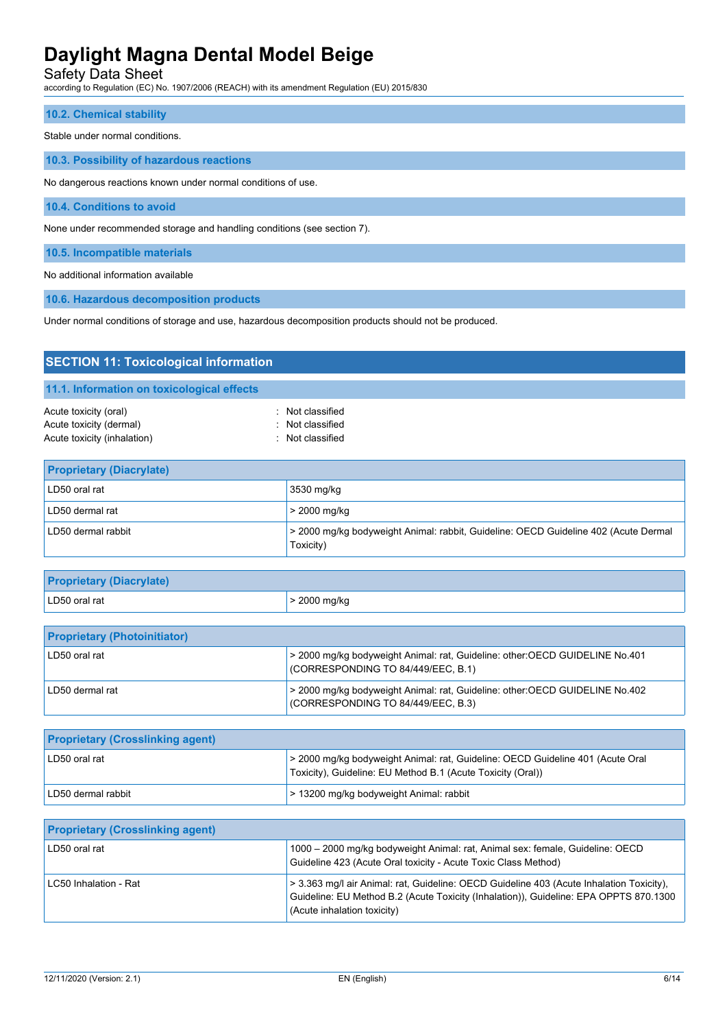Safety Data Sheet

according to Regulation (EC) No. 1907/2006 (REACH) with its amendment Regulation (EU) 2015/830

#### **10.2. Chemical stability**

#### Stable under normal conditions.

**10.3. Possibility of hazardous reactions**

No dangerous reactions known under normal conditions of use.

**10.4. Conditions to avoid**

None under recommended storage and handling conditions (see section 7).

**10.5. Incompatible materials**

No additional information available

**10.6. Hazardous decomposition products**

Under normal conditions of storage and use, hazardous decomposition products should not be produced.

| <b>SECTION 11: Toxicological information</b>                                                                                                                                                                                         |                                                                                                  |
|--------------------------------------------------------------------------------------------------------------------------------------------------------------------------------------------------------------------------------------|--------------------------------------------------------------------------------------------------|
| 11.1. Information on toxicological effects                                                                                                                                                                                           |                                                                                                  |
| Acute toxicity (oral)<br>Acute toxicity (dermal)<br>Acute toxicity (inhalation)                                                                                                                                                      | : Not classified<br>: Not classified<br>: Not classified                                         |
| <b>Proprietary (Diacrylate)</b>                                                                                                                                                                                                      |                                                                                                  |
| LD50 oral rat                                                                                                                                                                                                                        | 3530 mg/kg                                                                                       |
| LD50 dermal rat                                                                                                                                                                                                                      | > 2000 mg/kg                                                                                     |
| LD50 dermal rabbit                                                                                                                                                                                                                   | > 2000 mg/kg bodyweight Animal: rabbit, Guideline: OECD Guideline 402 (Acute Dermal<br>Toxicity) |
| <b>Product of the contract of the contract of the contract of the contract of the contract of the contract of the contract of the contract of the contract of the contract of the contract of the contract of the contract of th</b> |                                                                                                  |

| <b>Proprietary (Diacrylate)</b>     |                      |
|-------------------------------------|----------------------|
| LD50 oral rat                       | $\vert$ > 2000 mg/kg |
|                                     |                      |
| <b>Proprietary (Photoinitiator)</b> |                      |

| LD50 oral rat     | > 2000 mg/kg bodyweight Animal: rat, Guideline: other:OECD GUIDELINE No.401<br>CORRESPONDING TO 84/449/EEC, B.1)    |
|-------------------|---------------------------------------------------------------------------------------------------------------------|
| ' LD50 dermal rat | > 2000 mg/kg bodyweight Animal: rat, Guideline: other:OECD GUIDELINE No.402<br>I (CORRESPONDING TO 84/449/EEC, B.3) |

| <b>Proprietary (Crosslinking agent)</b> |                                                                                                                                               |
|-----------------------------------------|-----------------------------------------------------------------------------------------------------------------------------------------------|
| LD50 oral rat                           | > 2000 mg/kg bodyweight Animal: rat, Guideline: OECD Guideline 401 (Acute Oral<br>Toxicity), Guideline: EU Method B.1 (Acute Toxicity (Oral)) |
| LD50 dermal rabbit                      | > 13200 mg/kg bodyweight Animal: rabbit                                                                                                       |

| <b>Proprietary (Crosslinking agent)</b> |                                                                                                                                                                                                                  |
|-----------------------------------------|------------------------------------------------------------------------------------------------------------------------------------------------------------------------------------------------------------------|
| LD50 oral rat                           | 1000 - 2000 mg/kg bodyweight Animal: rat, Animal sex: female, Guideline: OECD<br>Guideline 423 (Acute Oral toxicity - Acute Toxic Class Method)                                                                  |
| LC50 Inhalation - Rat                   | > 3.363 mg/l air Animal: rat, Guideline: OECD Guideline 403 (Acute Inhalation Toxicity),<br>Guideline: EU Method B.2 (Acute Toxicity (Inhalation)), Guideline: EPA OPPTS 870.1300<br>(Acute inhalation toxicity) |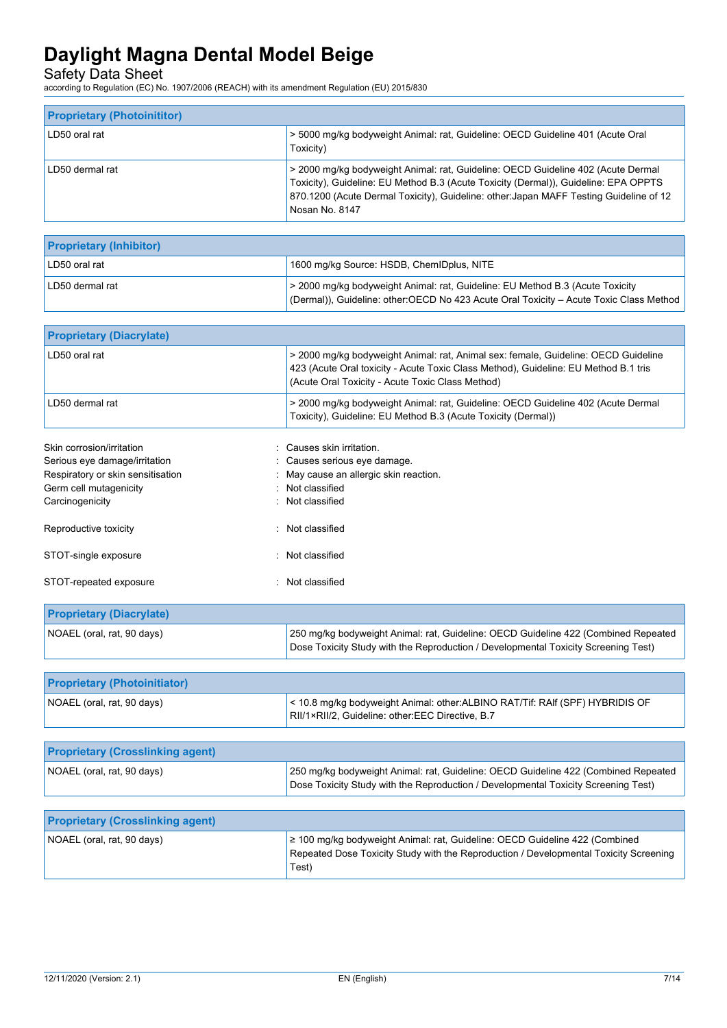Safety Data Sheet

according to Regulation (EC) No. 1907/2006 (REACH) with its amendment Regulation (EU) 2015/830

| <b>Proprietary (Photoinititor)</b> |                                                                                                                                                                                                                                                                                     |
|------------------------------------|-------------------------------------------------------------------------------------------------------------------------------------------------------------------------------------------------------------------------------------------------------------------------------------|
| LD50 oral rat                      | > 5000 mg/kg bodyweight Animal: rat, Guideline: OECD Guideline 401 (Acute Oral<br>Toxicity)                                                                                                                                                                                         |
| LD50 dermal rat                    | > 2000 mg/kg bodyweight Animal: rat, Guideline: OECD Guideline 402 (Acute Dermal<br>Toxicity), Guideline: EU Method B.3 (Acute Toxicity (Dermal)), Guideline: EPA OPPTS<br>870.1200 (Acute Dermal Toxicity), Guideline: other: Japan MAFF Testing Guideline of 12<br>Nosan No. 8147 |

| <b>Proprietary (Inhibitor)</b> |                                                                                                                                                                         |
|--------------------------------|-------------------------------------------------------------------------------------------------------------------------------------------------------------------------|
| LD50 oral rat                  | 1600 mg/kg Source: HSDB, ChemIDplus, NITE                                                                                                                               |
| LD50 dermal rat                | > 2000 mg/kg bodyweight Animal: rat, Guideline: EU Method B.3 (Acute Toxicity<br>(Dermal)), Guideline: other:OECD No 423 Acute Oral Toxicity - Acute Toxic Class Method |

| <b>Proprietary (Diacrylate)</b>         |                                                                                                                                                                                                                               |
|-----------------------------------------|-------------------------------------------------------------------------------------------------------------------------------------------------------------------------------------------------------------------------------|
| LD50 oral rat                           | > 2000 mg/kg bodyweight Animal: rat, Animal sex: female, Guideline: OECD Guideline<br>423 (Acute Oral toxicity - Acute Toxic Class Method), Guideline: EU Method B.1 tris<br>(Acute Oral Toxicity - Acute Toxic Class Method) |
| LD50 dermal rat                         | > 2000 mg/kg bodyweight Animal: rat, Guideline: OECD Guideline 402 (Acute Dermal<br>Toxicity), Guideline: EU Method B.3 (Acute Toxicity (Dermal))                                                                             |
| Skin corrosion/irritation               | Causes skin irritation.                                                                                                                                                                                                       |
| Serious eye damage/irritation           | Causes serious eye damage.                                                                                                                                                                                                    |
| Respiratory or skin sensitisation       | May cause an allergic skin reaction.                                                                                                                                                                                          |
| Germ cell mutagenicity                  | Not classified                                                                                                                                                                                                                |
| Carcinogenicity                         | : Not classified                                                                                                                                                                                                              |
| Reproductive toxicity                   | : Not classified                                                                                                                                                                                                              |
| STOT-single exposure                    | : Not classified                                                                                                                                                                                                              |
| STOT-repeated exposure                  | : Not classified                                                                                                                                                                                                              |
| <b>Proprietary (Diacrylate)</b>         |                                                                                                                                                                                                                               |
| NOAEL (oral, rat, 90 days)              | 250 mg/kg bodyweight Animal: rat, Guideline: OECD Guideline 422 (Combined Repeated<br>Dose Toxicity Study with the Reproduction / Developmental Toxicity Screening Test)                                                      |
|                                         |                                                                                                                                                                                                                               |
| <b>Proprietary (Photoinitiator)</b>     |                                                                                                                                                                                                                               |
| NOAEL (oral, rat, 90 days)              | < 10.8 mg/kg bodyweight Animal: other: ALBINO RAT/Tif: RAIf (SPF) HYBRIDIS OF<br>RII/1×RII/2, Guideline: other:EEC Directive, B.7                                                                                             |
|                                         |                                                                                                                                                                                                                               |
| <b>Proprietary (Crosslinking agent)</b> |                                                                                                                                                                                                                               |
| NOAEL (oral, rat, 90 days)              | 250 mg/kg bodyweight Animal: rat, Guideline: OECD Guideline 422 (Combined Repeated<br>Dose Toxicity Study with the Reproduction / Developmental Toxicity Screening Test)                                                      |

| <b>Proprietary (Crosslinking agent)</b> |                                                                                                                                                                                    |
|-----------------------------------------|------------------------------------------------------------------------------------------------------------------------------------------------------------------------------------|
| NOAEL (oral, rat, 90 days)              | $\geq$ 100 mg/kg bodyweight Animal: rat, Guideline: OECD Guideline 422 (Combined<br>Repeated Dose Toxicity Study with the Reproduction / Developmental Toxicity Screening<br>Test) |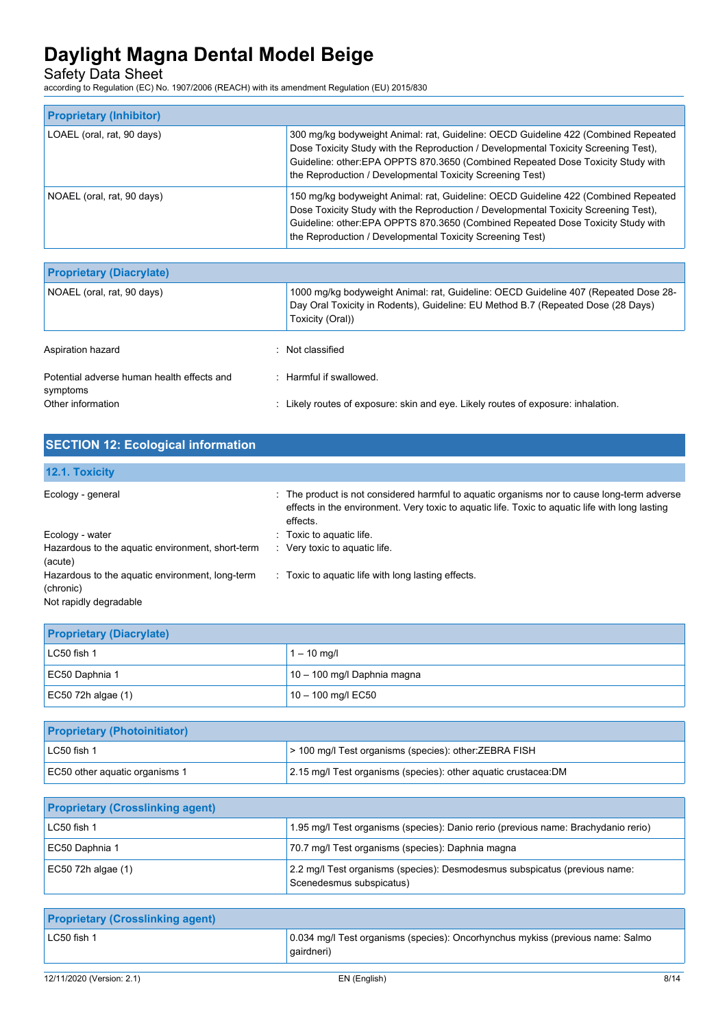Safety Data Sheet

according to Regulation (EC) No. 1907/2006 (REACH) with its amendment Regulation (EU) 2015/830

| <b>Proprietary (Inhibitor)</b> |                                                                                                                                                                                                                                                                                                                            |
|--------------------------------|----------------------------------------------------------------------------------------------------------------------------------------------------------------------------------------------------------------------------------------------------------------------------------------------------------------------------|
| LOAEL (oral, rat, 90 days)     | 300 mg/kg bodyweight Animal: rat, Guideline: OECD Guideline 422 (Combined Repeated<br>Dose Toxicity Study with the Reproduction / Developmental Toxicity Screening Test),<br>Guideline: other:EPA OPPTS 870.3650 (Combined Repeated Dose Toxicity Study with<br>the Reproduction / Developmental Toxicity Screening Test)  |
| NOAEL (oral, rat, 90 days)     | 150 mg/kg bodyweight Animal: rat, Guideline: OECD Guideline 422 (Combined Repeated<br>Dose Toxicity Study with the Reproduction / Developmental Toxicity Screening Test),<br>Guideline: other: EPA OPPTS 870.3650 (Combined Repeated Dose Toxicity Study with<br>the Reproduction / Developmental Toxicity Screening Test) |

| <b>Proprietary (Diacrylate)</b>                        |                                                                                                                                                                                             |
|--------------------------------------------------------|---------------------------------------------------------------------------------------------------------------------------------------------------------------------------------------------|
| NOAEL (oral, rat, 90 days)                             | 1000 mg/kg bodyweight Animal: rat, Guideline: OECD Guideline 407 (Repeated Dose 28-<br>Day Oral Toxicity in Rodents), Guideline: EU Method B.7 (Repeated Dose (28 Days)<br>Toxicity (Oral)) |
| Aspiration hazard                                      | . Not classified                                                                                                                                                                            |
| Potential adverse human health effects and<br>symptoms | . Harmful if swallowed                                                                                                                                                                      |
| Other information                                      | : Likely routes of exposure: skin and eye. Likely routes of exposure: inhalation.                                                                                                           |

| <b>SECTION 12: Ecological information</b>                                              |                                                                                                                                                                                                          |
|----------------------------------------------------------------------------------------|----------------------------------------------------------------------------------------------------------------------------------------------------------------------------------------------------------|
| 12.1. Toxicity                                                                         |                                                                                                                                                                                                          |
| Ecology - general                                                                      | The product is not considered harmful to aquatic organisms nor to cause long-term adverse<br>effects in the environment. Very toxic to aquatic life. Toxic to aquatic life with long lasting<br>effects. |
| Ecology - water                                                                        | Toxic to aquatic life.                                                                                                                                                                                   |
| Hazardous to the aquatic environment, short-term<br>(acute)                            | Very toxic to aquatic life.                                                                                                                                                                              |
| Hazardous to the aquatic environment, long-term<br>(chronic)<br>Not rapidly degradable | Toxic to aquatic life with long lasting effects.<br>$\mathcal{L}_{\mathcal{L}}$                                                                                                                          |

| <b>Proprietary (Diacrylate)</b> |                               |
|---------------------------------|-------------------------------|
| $LC50$ fish 1                   | $1 - 10$ mg/l                 |
| EC50 Daphnia 1                  | $10 - 100$ mg/l Daphnia magna |
| $EC50$ 72h algae (1)            | $10 - 100$ mg/l EC50          |

| <b>Proprietary (Photoinitiator)</b> |                                                                 |
|-------------------------------------|-----------------------------------------------------------------|
| $LC50$ fish 1                       | > 100 mg/l Test organisms (species): other: ZEBRA FISH          |
| EC50 other aquatic organisms 1      | 2.15 mg/l Test organisms (species): other aguatic crustacea: DM |

| <b>Proprietary (Crosslinking agent)</b> |                                                                                                        |
|-----------------------------------------|--------------------------------------------------------------------------------------------------------|
| LC50 fish 1                             | 1.95 mg/l Test organisms (species): Danio rerio (previous name: Brachydanio rerio)                     |
| EC50 Daphnia 1                          | 70.7 mg/l Test organisms (species): Daphnia magna                                                      |
| $EC50$ 72h algae (1)                    | 2.2 mg/l Test organisms (species): Desmodesmus subspicatus (previous name:<br>Scenedesmus subspicatus) |

| <b>Proprietary (Crosslinking agent)</b> |                                                                                              |      |
|-----------------------------------------|----------------------------------------------------------------------------------------------|------|
| $LC50$ fish 1                           | 0.034 mg/l Test organisms (species): Oncorhynchus mykiss (previous name: Salmo<br>gairdneri) |      |
|                                         |                                                                                              |      |
| 12/11/2020 (Version: 2.1)               | EN (English)                                                                                 | 8/14 |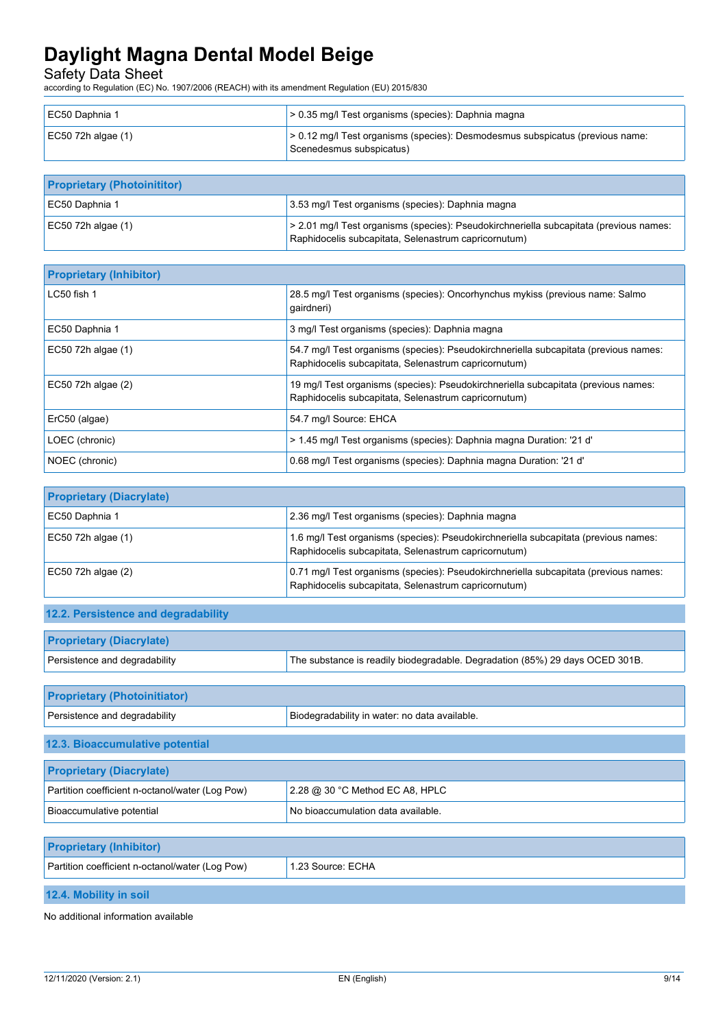Safety Data Sheet

according to Regulation (EC) No. 1907/2006 (REACH) with its amendment Regulation (EU) 2015/830

| EC50 Daphnia 1       | $> 0.35$ mg/l Test organisms (species): Daphnia magna                                                     |
|----------------------|-----------------------------------------------------------------------------------------------------------|
| $EC50$ 72h algae (1) | > 0.12 mg/l Test organisms (species): Desmodesmus subspicatus (previous name:<br>Scenedesmus subspicatus) |

| <b>Proprietary (Photoinititor)</b> |                                                                                                                                                |
|------------------------------------|------------------------------------------------------------------------------------------------------------------------------------------------|
| EC50 Daphnia 1                     | 3.53 mg/l Test organisms (species): Daphnia magna                                                                                              |
| $EC50$ 72h algae (1)               | > 2.01 mg/l Test organisms (species): Pseudokirchneriella subcapitata (previous names:<br>Raphidocelis subcapitata, Selenastrum capricornutum) |

| <b>Proprietary (Inhibitor)</b> |                                                                                                                                              |
|--------------------------------|----------------------------------------------------------------------------------------------------------------------------------------------|
| LC50 fish 1                    | 28.5 mg/l Test organisms (species): Oncorhynchus mykiss (previous name: Salmo<br>qairdneri)                                                  |
| EC50 Daphnia 1                 | 3 mg/l Test organisms (species): Daphnia magna                                                                                               |
| EC50 72h algae (1)             | 54.7 mg/l Test organisms (species): Pseudokirchneriella subcapitata (previous names:<br>Raphidocelis subcapitata, Selenastrum capricornutum) |
| EC50 72h algae (2)             | 19 mg/l Test organisms (species): Pseudokirchneriella subcapitata (previous names:<br>Raphidocelis subcapitata, Selenastrum capricornutum)   |
| ErC50 (algae)                  | 54.7 mg/l Source: EHCA                                                                                                                       |
| LOEC (chronic)                 | > 1.45 mg/l Test organisms (species): Daphnia magna Duration: '21 d'                                                                         |
| NOEC (chronic)                 | 0.68 mg/l Test organisms (species): Daphnia magna Duration: '21 d'                                                                           |

| <b>Proprietary (Diacrylate)</b> |                                                                                                                                              |
|---------------------------------|----------------------------------------------------------------------------------------------------------------------------------------------|
| EC50 Daphnia 1                  | 2.36 mg/l Test organisms (species): Daphnia magna                                                                                            |
| $EC50$ 72h algae (1)            | 1.6 mg/l Test organisms (species): Pseudokirchneriella subcapitata (previous names:<br>Raphidocelis subcapitata, Selenastrum capricornutum)  |
| EC50 72h algae $(2)$            | 0.71 mg/l Test organisms (species): Pseudokirchneriella subcapitata (previous names:<br>Raphidocelis subcapitata, Selenastrum capricornutum) |

## **12.2. Persistence and degradability**

| <b>Proprietary (Diacrylate)</b> |                                                                              |
|---------------------------------|------------------------------------------------------------------------------|
| Persistence and degradability   | The substance is readily biodegradable. Degradation (85%) 29 days OCED 301B. |

| Biodegradability in water: no data available. |  |  |
|-----------------------------------------------|--|--|
|                                               |  |  |
|                                               |  |  |
| <b>Proprietary (Diacrylate)</b>               |  |  |
| 2.28 $@$ 30 °C Method EC A8, HPLC             |  |  |
| No bioaccumulation data available.            |  |  |
|                                               |  |  |

| <b>Proprietary (Inhibitor)</b>                  |                   |
|-------------------------------------------------|-------------------|
| Partition coefficient n-octanol/water (Log Pow) | 1.23 Source: ECHA |
|                                                 |                   |

## **12.4. Mobility in soil**

No additional information available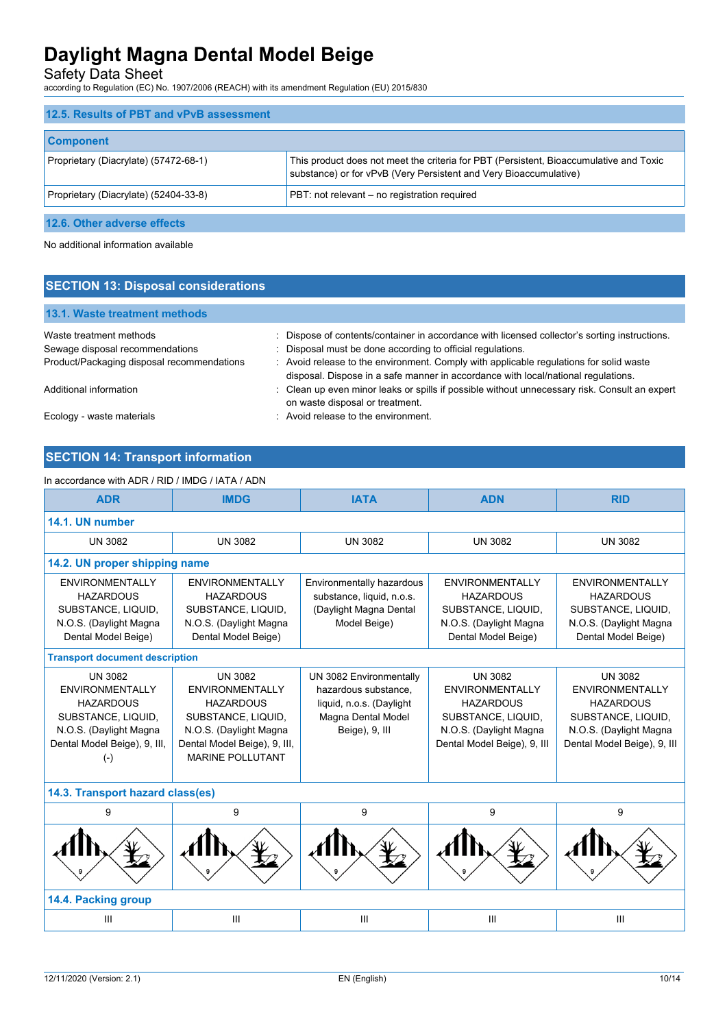Safety Data Sheet

according to Regulation (EC) No. 1907/2006 (REACH) with its amendment Regulation (EU) 2015/830

| 12.5. Results of PBT and vPvB assessment |                                                                                                                                                             |
|------------------------------------------|-------------------------------------------------------------------------------------------------------------------------------------------------------------|
| <b>Component</b>                         |                                                                                                                                                             |
| Proprietary (Diacrylate) (57472-68-1)    | This product does not meet the criteria for PBT (Persistent, Bioaccumulative and Toxic<br>substance) or for vPvB (Very Persistent and Very Bioaccumulative) |
| Proprietary (Diacrylate) (52404-33-8)    | PBT: not relevant – no registration required                                                                                                                |
|                                          |                                                                                                                                                             |

**12.6. Other adverse effects**

No additional information available

| <b>SECTION 13: Disposal considerations</b>                                                               |                                                                                                                                                                                                                                                       |  |  |
|----------------------------------------------------------------------------------------------------------|-------------------------------------------------------------------------------------------------------------------------------------------------------------------------------------------------------------------------------------------------------|--|--|
| <b>13.1. Waste treatment methods</b>                                                                     |                                                                                                                                                                                                                                                       |  |  |
| Waste treatment methods<br>Sewage disposal recommendations<br>Product/Packaging disposal recommendations | : Dispose of contents/container in accordance with licensed collector's sorting instructions.<br>: Disposal must be done according to official regulations.<br>: Avoid release to the environment. Comply with applicable regulations for solid waste |  |  |
| Additional information                                                                                   | disposal. Dispose in a safe manner in accordance with local/national regulations.<br>: Clean up even minor leaks or spills if possible without unnecessary risk. Consult an expert<br>on waste disposal or treatment.                                 |  |  |
| Ecology - waste materials                                                                                | : Avoid release to the environment.                                                                                                                                                                                                                   |  |  |

## **SECTION 14: Transport information**

In accordance with ADR / RID / IMDG / IATA / ADN **ADR IMDG IATA ADN RID 14.1. UN number** UN 3082 UN 3082 UN 3082 UN 3082 UN 3082 **14.2. UN proper shipping name** ENVIRONMENTALLY **HAZARDOUS** SUBSTANCE, LIQUID, N.O.S. (Daylight Magna Dental Model Beige) ENVIRONMENTALLY **HAZARDOUS** SUBSTANCE, LIQUID, N.O.S. (Daylight Magna Dental Model Beige) Environmentally hazardous substance, liquid, n.o.s. (Daylight Magna Dental Model Beige) ENVIRONMENTALLY HAZARDOUS SUBSTANCE, LIQUID, N.O.S. (Daylight Magna Dental Model Beige) ENVIRONMENTALLY HAZARDOUS SUBSTANCE, LIQUID, N.O.S. (Daylight Magna Dental Model Beige) **Transport document description** UN 3082 ENVIRONMENTALLY HAZARDOUS SUBSTANCE, LIQUID, N.O.S. (Daylight Magna Dental Model Beige), 9, III, (-) UN 3082 ENVIRONMENTALLY HAZARDOUS SUBSTANCE, LIQUID, N.O.S. (Daylight Magna Dental Model Beige), 9, III, MARINE POLLUTANT UN 3082 Environmentally hazardous substance, liquid, n.o.s. (Daylight Magna Dental Model Beige), 9, III UN 3082 ENVIRONMENTALLY HAZARDOUS SUBSTANCE, LIQUID, N.O.S. (Daylight Magna Dental Model Beige), 9, III UN 3082 ENVIRONMENTALLY HAZARDOUS SUBSTANCE, LIQUID, N.O.S. (Daylight Magna Dental Model Beige), 9, III **14.3. Transport hazard class(es)** 9 9 9 9 9 9 9 9 9 **14.4. Packing group** III III III III III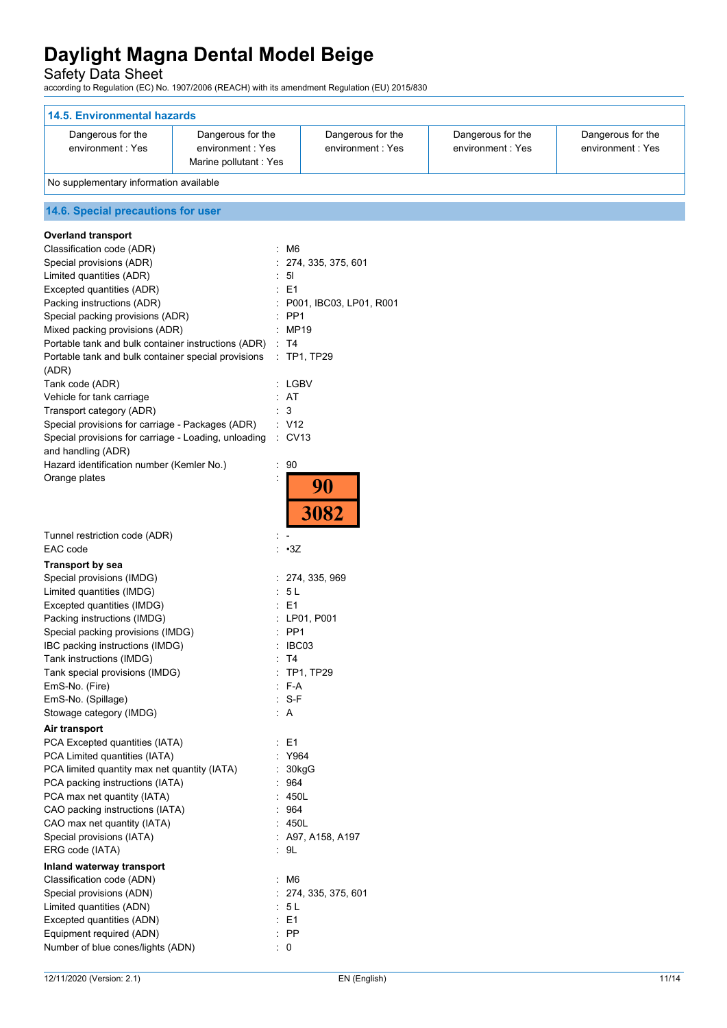Safety Data Sheet

according to Regulation (EC) No. 1907/2006 (REACH) with its amendment Regulation (EU) 2015/830

| <b>14.5. Environmental hazards</b>                              |                           |                         |                   |                   |
|-----------------------------------------------------------------|---------------------------|-------------------------|-------------------|-------------------|
| Dangerous for the                                               | Dangerous for the         | Dangerous for the       | Dangerous for the | Dangerous for the |
| environment: Yes                                                | environment: Yes          | environment: Yes        | environment: Yes  | environment: Yes  |
|                                                                 | Marine pollutant : Yes    |                         |                   |                   |
| No supplementary information available                          |                           |                         |                   |                   |
| 14.6. Special precautions for user                              |                           |                         |                   |                   |
| <b>Overland transport</b>                                       |                           |                         |                   |                   |
| Classification code (ADR)                                       | $~\cdot~$ M6              |                         |                   |                   |
| Special provisions (ADR)                                        |                           | : 274, 335, 375, 601    |                   |                   |
| Limited quantities (ADR)                                        | : 51                      |                         |                   |                   |
| Excepted quantities (ADR)                                       | E <sub>1</sub>            |                         |                   |                   |
| Packing instructions (ADR)                                      |                           | P001, IBC03, LP01, R001 |                   |                   |
| Special packing provisions (ADR)                                | PP <sub>1</sub>           |                         |                   |                   |
| Mixed packing provisions (ADR)                                  | : MP19                    |                         |                   |                   |
| Portable tank and bulk container instructions (ADR)             | $\therefore$ T4           |                         |                   |                   |
| Portable tank and bulk container special provisions             |                           | $\therefore$ TP1, TP29  |                   |                   |
| (ADR)<br>Tank code (ADR)                                        | : LGBV                    |                         |                   |                   |
| Vehicle for tank carriage                                       | : AT                      |                         |                   |                   |
| Transport category (ADR)                                        | 3                         |                         |                   |                   |
| Special provisions for carriage - Packages (ADR)                | : V12                     |                         |                   |                   |
| Special provisions for carriage - Loading, unloading            | $\therefore$ CV13         |                         |                   |                   |
| and handling (ADR)                                              |                           |                         |                   |                   |
| Hazard identification number (Kemler No.)                       | $\therefore$ 90           |                         |                   |                   |
| Orange plates                                                   |                           | 90                      |                   |                   |
|                                                                 |                           |                         |                   |                   |
|                                                                 |                           | 3082                    |                   |                   |
|                                                                 |                           |                         |                   |                   |
| Tunnel restriction code (ADR)<br>EAC code                       | t.<br>$\cdot 3Z$          |                         |                   |                   |
|                                                                 |                           |                         |                   |                   |
| <b>Transport by sea</b><br>Special provisions (IMDG)            |                           | : 274, 335, 969         |                   |                   |
| Limited quantities (IMDG)                                       | : 5L                      |                         |                   |                   |
| Excepted quantities (IMDG)                                      | E <sub>1</sub>            |                         |                   |                   |
| Packing instructions (IMDG)                                     |                           | : LP01, P001            |                   |                   |
| Special packing provisions (IMDG)                               | : PP1                     |                         |                   |                   |
| IBC packing instructions (IMDG)                                 | : IBC03                   |                         |                   |                   |
| Tank instructions (IMDG)                                        | : T4                      |                         |                   |                   |
| Tank special provisions (IMDG)                                  |                           | : TP1, TP29             |                   |                   |
| EmS-No. (Fire)                                                  | $: F-A$                   |                         |                   |                   |
| EmS-No. (Spillage)                                              | $: S-F$                   |                         |                   |                   |
| Stowage category (IMDG)                                         | : A                       |                         |                   |                   |
| Air transport                                                   |                           |                         |                   |                   |
| PCA Excepted quantities (IATA)<br>PCA Limited quantities (IATA) | $\therefore$ E1<br>: Y964 |                         |                   |                   |
| PCA limited quantity max net quantity (IATA)                    | : 30kgG                   |                         |                   |                   |
| PCA packing instructions (IATA)                                 | : 964                     |                         |                   |                   |
| PCA max net quantity (IATA)                                     | : 450L                    |                         |                   |                   |
| CAO packing instructions (IATA)                                 | .964                      |                         |                   |                   |
| CAO max net quantity (IATA)                                     | : 450L                    |                         |                   |                   |
| Special provisions (IATA)                                       |                           | $:$ A97, A158, A197     |                   |                   |
| ERG code (IATA)                                                 | : 9L                      |                         |                   |                   |
| Inland waterway transport                                       |                           |                         |                   |                   |
| Classification code (ADN)                                       | : M6                      |                         |                   |                   |
| Special provisions (ADN)                                        |                           | : 274, 335, 375, 601    |                   |                   |
| Limited quantities (ADN)                                        | : 5L                      |                         |                   |                   |
| Excepted quantities (ADN)                                       | $\therefore$ E1<br>$:$ PP |                         |                   |                   |
| Equipment required (ADN)<br>Number of blue cones/lights (ADN)   | $\therefore$ 0            |                         |                   |                   |
|                                                                 |                           |                         |                   |                   |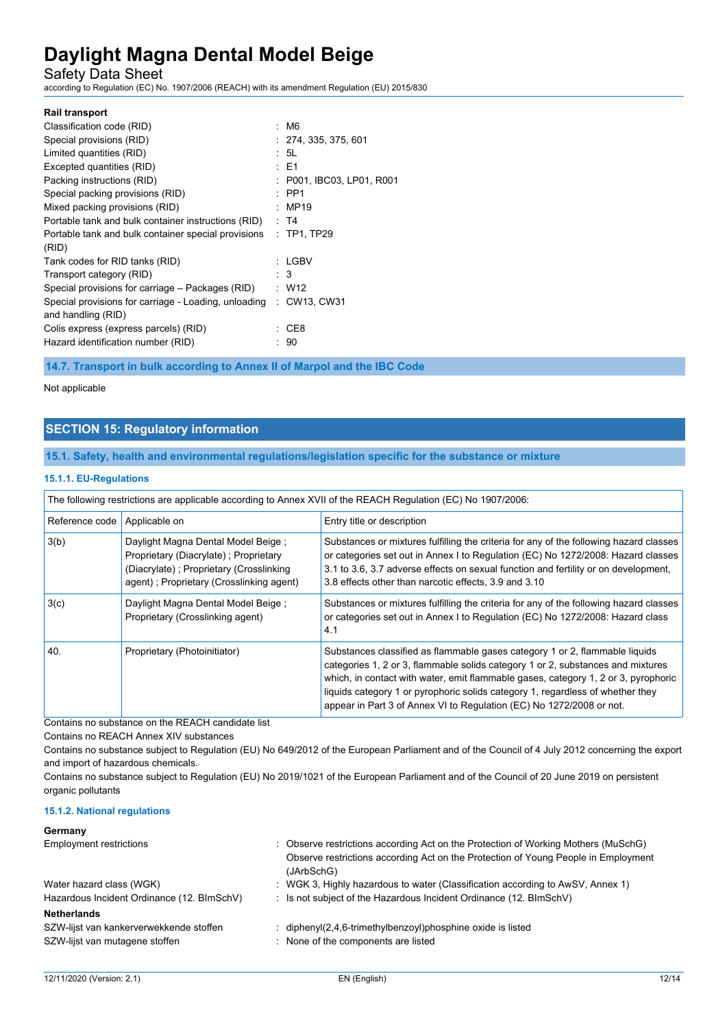Safety Data Sheet

according to Regulation (EC) No. 1907/2006 (REACH) with its amendment Regulation (EU) 2015/830

|                                                      | : M6                      |
|------------------------------------------------------|---------------------------|
|                                                      | : 274, 335, 375, 601      |
|                                                      | : 5L                      |
|                                                      | $\pm$ E1                  |
|                                                      | : P001, IBC03, LP01, R001 |
|                                                      | $\therefore$ PP1          |
|                                                      | MP19                      |
| Portable tank and bulk container instructions (RID)  | : T4                      |
| Portable tank and bulk container special provisions  | $:$ TP1, TP29             |
|                                                      |                           |
|                                                      | $:$ LGBV                  |
|                                                      | $\therefore$ 3            |
| Special provisions for carriage – Packages (RID)     | $\therefore$ W12          |
| Special provisions for carriage - Loading, unloading | : CW13, CW31              |
|                                                      |                           |
| ۰,                                                   | CE8                       |
|                                                      | 90                        |
|                                                      |                           |

**14.7. Transport in bulk according to Annex II of Marpol and the IBC Code**

## Not applicable

### **SECTION 15: Regulatory information**

### **15.1. Safety, health and environmental regulations/legislation specific for the substance or mixture**

#### **15.1.1. EU-Regulations**

| The following restrictions are applicable according to Annex XVII of the REACH Regulation (EC) No 1907/2006: |                                                                                                                                                                     |                                                                                                                                                                                                                                                                                                                                                                                                                |
|--------------------------------------------------------------------------------------------------------------|---------------------------------------------------------------------------------------------------------------------------------------------------------------------|----------------------------------------------------------------------------------------------------------------------------------------------------------------------------------------------------------------------------------------------------------------------------------------------------------------------------------------------------------------------------------------------------------------|
| Reference code                                                                                               | Applicable on                                                                                                                                                       | Entry title or description                                                                                                                                                                                                                                                                                                                                                                                     |
| 3(b)                                                                                                         | Daylight Magna Dental Model Beige ;<br>Proprietary (Diacrylate); Proprietary<br>(Diacrylate); Proprietary (Crosslinking<br>agent); Proprietary (Crosslinking agent) | Substances or mixtures fulfilling the criteria for any of the following hazard classes<br>or categories set out in Annex I to Regulation (EC) No 1272/2008: Hazard classes<br>3.1 to 3.6, 3.7 adverse effects on sexual function and fertility or on development,<br>3.8 effects other than narcotic effects, 3.9 and 3.10                                                                                     |
| 3(c)                                                                                                         | Daylight Magna Dental Model Beige;<br>Proprietary (Crosslinking agent)                                                                                              | Substances or mixtures fulfilling the criteria for any of the following hazard classes<br>or categories set out in Annex I to Regulation (EC) No 1272/2008: Hazard class<br>4.1                                                                                                                                                                                                                                |
| 40.                                                                                                          | Proprietary (Photoinitiator)                                                                                                                                        | Substances classified as flammable gases category 1 or 2, flammable liquids<br>categories 1, 2 or 3, flammable solids category 1 or 2, substances and mixtures<br>which, in contact with water, emit flammable gases, category 1, 2 or 3, pyrophoric<br>liquids category 1 or pyrophoric solids category 1, regardless of whether they<br>appear in Part 3 of Annex VI to Regulation (EC) No 1272/2008 or not. |

Contains no substance on the REACH candidate list

Contains no REACH Annex XIV substances

Contains no substance subject to Regulation (EU) No 649/2012 of the European Parliament and of the Council of 4 July 2012 concerning the export and import of hazardous chemicals.

Contains no substance subject to Regulation (EU) No 2019/1021 of the European Parliament and of the Council of 20 June 2019 on persistent organic pollutants

#### **15.1.2. National regulations**

### **Germany**

| <b>Employment restrictions</b>                                                                  | : Observe restrictions according Act on the Protection of Working Mothers (MuSchG)<br>Observe restrictions according Act on the Protection of Young People in Employment<br>(JArbSchG) |
|-------------------------------------------------------------------------------------------------|----------------------------------------------------------------------------------------------------------------------------------------------------------------------------------------|
| Water hazard class (WGK)                                                                        | : WGK 3, Highly hazardous to water (Classification according to AwSV, Annex 1)                                                                                                         |
| Hazardous Incident Ordinance (12. BImSchV)                                                      | : Is not subject of the Hazardous Incident Ordinance (12. BImSchV)                                                                                                                     |
| <b>Netherlands</b><br>SZW-lijst van kankerverwekkende stoffen<br>SZW-lijst van mutagene stoffen | : diphenyl(2,4,6-trimethylbenzoyl)phosphine oxide is listed<br>: None of the components are listed                                                                                     |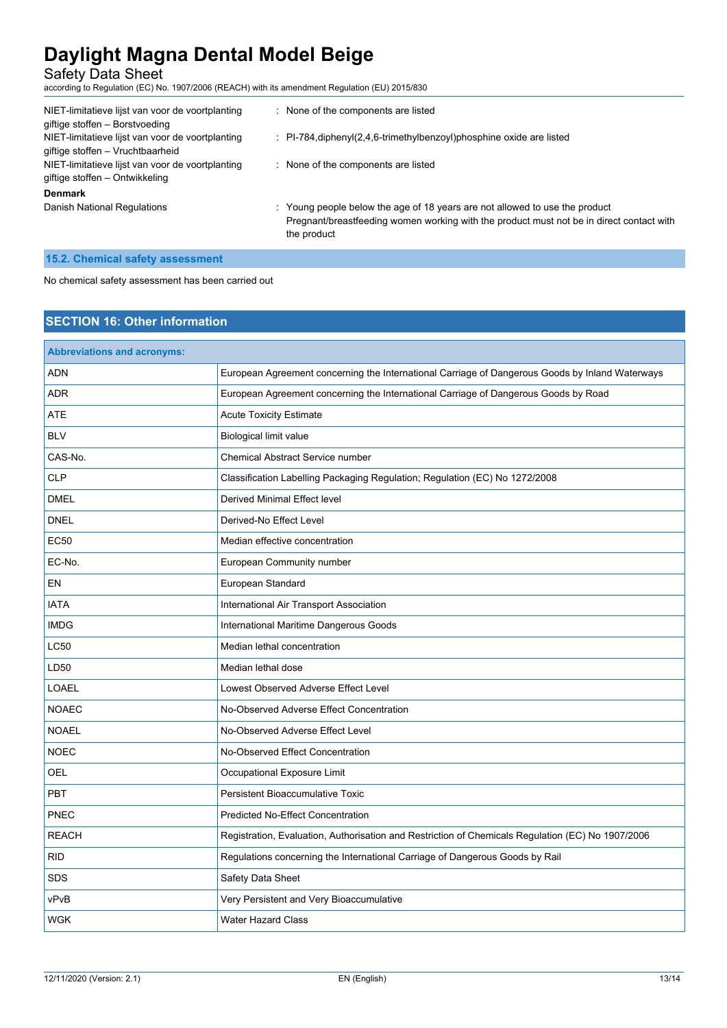Safety Data Sheet

according to Regulation (EC) No. 1907/2006 (REACH) with its amendment Regulation (EU) 2015/830

| NIET-limitatieve lijst van voor de voortplanting<br>giftige stoffen - Borstvoeding | : None of the components are listed                                                      |
|------------------------------------------------------------------------------------|------------------------------------------------------------------------------------------|
| NIET-limitatieve lijst van voor de voortplanting                                   | $\therefore$ PI-784, diphenyl(2,4,6-trimethylbenzoyl) phosphine oxide are listed         |
| giftige stoffen - Vruchtbaarheid                                                   |                                                                                          |
| NIET-limitatieve lijst van voor de voortplanting                                   | : None of the components are listed                                                      |
| giftige stoffen – Ontwikkeling                                                     |                                                                                          |
| <b>Denmark</b>                                                                     |                                                                                          |
| Danish National Regulations                                                        | : Young people below the age of 18 years are not allowed to use the product              |
|                                                                                    | Pregnant/breastfeeding women working with the product must not be in direct contact with |
|                                                                                    | the product                                                                              |

## **15.2. Chemical safety assessment**

No chemical safety assessment has been carried out

## **SECTION 16: Other information**

| <b>Abbreviations and acronyms:</b> |                                                                                                   |
|------------------------------------|---------------------------------------------------------------------------------------------------|
| ADN                                | European Agreement concerning the International Carriage of Dangerous Goods by Inland Waterways   |
| <b>ADR</b>                         | European Agreement concerning the International Carriage of Dangerous Goods by Road               |
| <b>ATE</b>                         | <b>Acute Toxicity Estimate</b>                                                                    |
| <b>BLV</b>                         | <b>Biological limit value</b>                                                                     |
| CAS-No.                            | <b>Chemical Abstract Service number</b>                                                           |
| <b>CLP</b>                         | Classification Labelling Packaging Regulation; Regulation (EC) No 1272/2008                       |
| <b>DMEL</b>                        | Derived Minimal Effect level                                                                      |
| <b>DNEL</b>                        | Derived-No Effect Level                                                                           |
| <b>EC50</b>                        | Median effective concentration                                                                    |
| EC-No.                             | European Community number                                                                         |
| EN                                 | European Standard                                                                                 |
| <b>IATA</b>                        | International Air Transport Association                                                           |
| <b>IMDG</b>                        | International Maritime Dangerous Goods                                                            |
| <b>LC50</b>                        | Median lethal concentration                                                                       |
| LD50                               | Median lethal dose                                                                                |
| <b>LOAEL</b>                       | Lowest Observed Adverse Effect Level                                                              |
| <b>NOAEC</b>                       | No-Observed Adverse Effect Concentration                                                          |
| <b>NOAEL</b>                       | No-Observed Adverse Effect Level                                                                  |
| <b>NOEC</b>                        | No-Observed Effect Concentration                                                                  |
| OEL                                | Occupational Exposure Limit                                                                       |
| PBT                                | <b>Persistent Bioaccumulative Toxic</b>                                                           |
| PNEC                               | <b>Predicted No-Effect Concentration</b>                                                          |
| <b>REACH</b>                       | Registration, Evaluation, Authorisation and Restriction of Chemicals Regulation (EC) No 1907/2006 |
| <b>RID</b>                         | Regulations concerning the International Carriage of Dangerous Goods by Rail                      |
| <b>SDS</b>                         | Safety Data Sheet                                                                                 |
| vPvB                               | Very Persistent and Very Bioaccumulative                                                          |
| <b>WGK</b>                         | <b>Water Hazard Class</b>                                                                         |